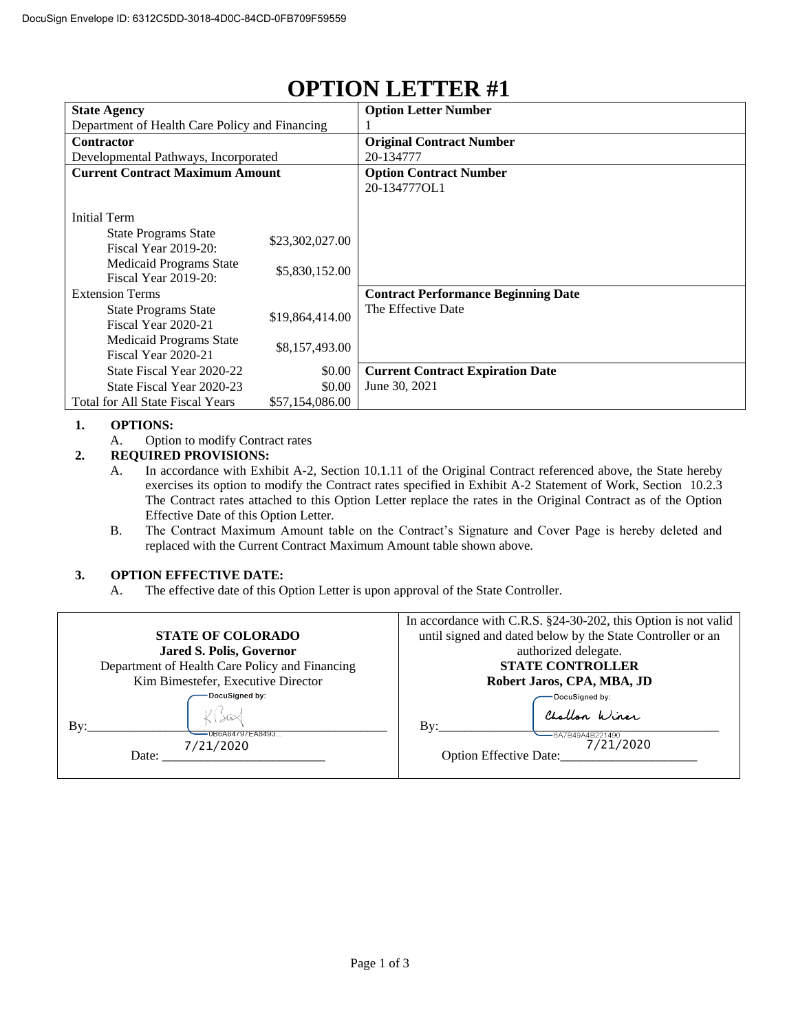| <b>State Agency</b>                            |                 | <b>Option Letter Number</b>                |  |
|------------------------------------------------|-----------------|--------------------------------------------|--|
| Department of Health Care Policy and Financing |                 |                                            |  |
| <b>Contractor</b>                              |                 | <b>Original Contract Number</b>            |  |
| Developmental Pathways, Incorporated           |                 | 20-134777                                  |  |
| <b>Current Contract Maximum Amount</b>         |                 | <b>Option Contract Number</b>              |  |
|                                                |                 | 20-134777OL1                               |  |
|                                                |                 |                                            |  |
| <b>Initial Term</b>                            |                 |                                            |  |
| <b>State Programs State</b>                    | \$23,302,027.00 |                                            |  |
| <b>Fiscal Year 2019-20:</b>                    |                 |                                            |  |
| Medicaid Programs State                        | \$5,830,152.00  |                                            |  |
| Fiscal Year 2019-20:                           |                 |                                            |  |
| <b>Extension Terms</b>                         |                 | <b>Contract Performance Beginning Date</b> |  |
| <b>State Programs State</b>                    | \$19,864,414.00 | The Effective Date                         |  |
| Fiscal Year 2020-21                            |                 |                                            |  |
| Medicaid Programs State                        | \$8,157,493.00  |                                            |  |
| Fiscal Year 2020-21                            |                 |                                            |  |
| State Fiscal Year 2020-22                      | \$0.00          | <b>Current Contract Expiration Date</b>    |  |
| State Fiscal Year 2020-23                      | \$0.00          | June 30, 2021                              |  |
| <b>Total for All State Fiscal Years</b>        | \$57,154,086.00 |                                            |  |

## **OPTION LETTER #1**

## **1. OPTIONS:**

A. Option to modify Contract rates

## **2. REQUIRED PROVISIONS:**

- A. In accordance with Exhibit A-2, Section 10.1.11 of the Original Contract referenced above, the State hereby exercises its option to modify the Contract rates specified in Exhibit A-2 Statement of Work, Section 10.2.3 The Contract rates attached to this Option Letter replace the rates in the Original Contract as of the Option Effective Date of this Option Letter.
- B. The Contract Maximum Amount table on the Contract's Signature and Cover Page is hereby deleted and replaced with the Current Contract Maximum Amount table shown above.

## **3. OPTION EFFECTIVE DATE:**

A. The effective date of this Option Letter is upon approval of the State Controller.

|                                                | In accordance with C.R.S. §24-30-202, this Option is not valid |  |
|------------------------------------------------|----------------------------------------------------------------|--|
| <b>STATE OF COLORADO</b>                       | until signed and dated below by the State Controller or an     |  |
| Jared S. Polis, Governor                       | authorized delegate.                                           |  |
| Department of Health Care Policy and Financing | <b>STATE CONTROLLER</b>                                        |  |
| Kim Bimestefer, Executive Director             | Robert Jaros, CPA, MBA, JD                                     |  |
| DocuSigned by:                                 | DocuSigned by:                                                 |  |
| Bv:<br>0B6A84797EA8493.<br>7/21/2020           | Challon Winer<br>Bv:<br>-6A7B49A4B221490<br>7/21/2020          |  |
| Date:                                          | <b>Option Effective Date:</b>                                  |  |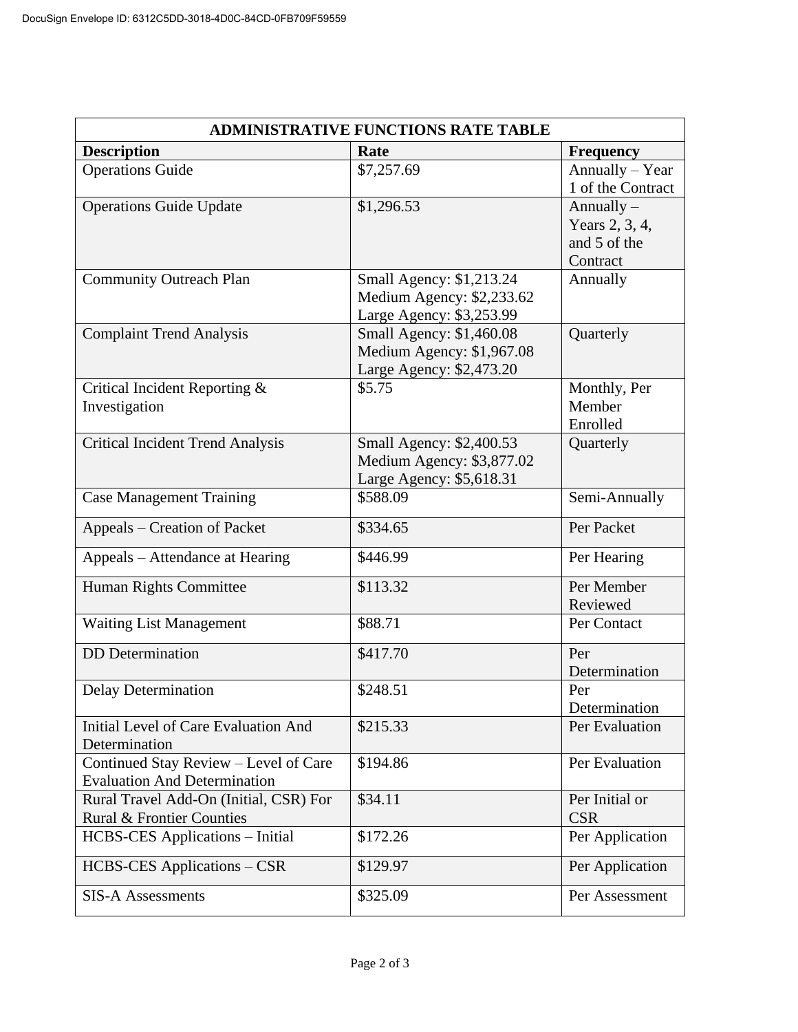| <b>ADMINISTRATIVE FUNCTIONS RATE TABLE</b>                                   |                                                                                   |                                                            |  |  |
|------------------------------------------------------------------------------|-----------------------------------------------------------------------------------|------------------------------------------------------------|--|--|
| <b>Description</b>                                                           | Rate                                                                              | <b>Frequency</b>                                           |  |  |
| <b>Operations Guide</b>                                                      | \$7,257.69                                                                        | Annually - Year<br>1 of the Contract                       |  |  |
| <b>Operations Guide Update</b>                                               | \$1,296.53                                                                        | Annually $-$<br>Years 2, 3, 4,<br>and 5 of the<br>Contract |  |  |
| <b>Community Outreach Plan</b>                                               | Small Agency: \$1,213.24<br>Medium Agency: \$2,233.62<br>Large Agency: \$3,253.99 | Annually                                                   |  |  |
| <b>Complaint Trend Analysis</b>                                              | Small Agency: \$1,460.08<br>Medium Agency: \$1,967.08<br>Large Agency: \$2,473.20 | Quarterly                                                  |  |  |
| Critical Incident Reporting &<br>Investigation                               | \$5.75                                                                            | Monthly, Per<br>Member<br>Enrolled                         |  |  |
| <b>Critical Incident Trend Analysis</b>                                      | Small Agency: \$2,400.53<br>Medium Agency: \$3,877.02<br>Large Agency: \$5,618.31 | Quarterly                                                  |  |  |
| <b>Case Management Training</b>                                              | \$588.09                                                                          | Semi-Annually                                              |  |  |
| Appeals – Creation of Packet                                                 | \$334.65                                                                          | Per Packet                                                 |  |  |
| Appeals – Attendance at Hearing                                              | \$446.99                                                                          | Per Hearing                                                |  |  |
| Human Rights Committee                                                       | \$113.32                                                                          | Per Member<br>Reviewed                                     |  |  |
| <b>Waiting List Management</b>                                               | \$88.71                                                                           | Per Contact                                                |  |  |
| <b>DD</b> Determination                                                      | \$417.70                                                                          | Per<br>Determination                                       |  |  |
| <b>Delay Determination</b>                                                   | \$248.51                                                                          | Per<br>Determination                                       |  |  |
| Initial Level of Care Evaluation And<br>Determination                        | \$215.33                                                                          | Per Evaluation                                             |  |  |
| Continued Stay Review - Level of Care<br><b>Evaluation And Determination</b> | \$194.86                                                                          | Per Evaluation                                             |  |  |
| Rural Travel Add-On (Initial, CSR) For<br>Rural & Frontier Counties          | \$34.11                                                                           | Per Initial or<br><b>CSR</b>                               |  |  |
| <b>HCBS-CES</b> Applications - Initial                                       | \$172.26                                                                          | Per Application                                            |  |  |
| <b>HCBS-CES</b> Applications – CSR                                           | \$129.97                                                                          | Per Application                                            |  |  |
| <b>SIS-A Assessments</b>                                                     | \$325.09                                                                          | Per Assessment                                             |  |  |